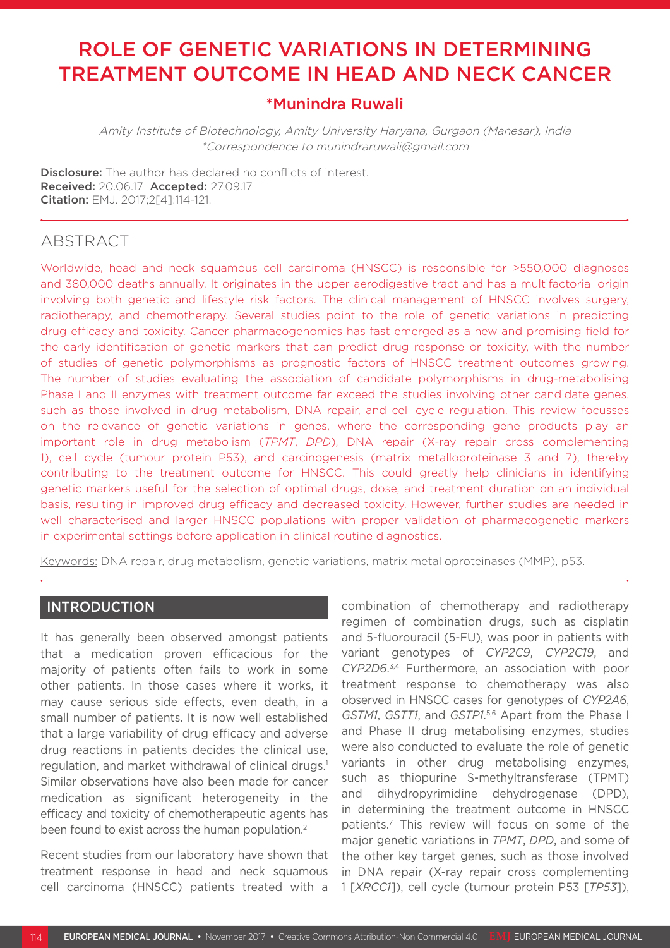# ROLE OF GENETIC VARIATIONS IN DETERMINING TREATMENT OUTCOME IN HEAD AND NECK CANCER

### \*Munindra Ruwali

Amity Institute of Biotechnology, Amity University Haryana, Gurgaon (Manesar), India \*Correspondence to munindraruwali@gmail.com

**Disclosure:** The author has declared no conflicts of interest. Received: 20.06.17 Accepted: 27.09.17 Citation: EMJ. 2017;2[4]:114-121.

### **ABSTRACT**

Worldwide, head and neck squamous cell carcinoma (HNSCC) is responsible for >550,000 diagnoses and 380,000 deaths annually. It originates in the upper aerodigestive tract and has a multifactorial origin involving both genetic and lifestyle risk factors. The clinical management of HNSCC involves surgery, radiotherapy, and chemotherapy. Several studies point to the role of genetic variations in predicting drug efficacy and toxicity. Cancer pharmacogenomics has fast emerged as a new and promising field for the early identification of genetic markers that can predict drug response or toxicity, with the number of studies of genetic polymorphisms as prognostic factors of HNSCC treatment outcomes growing. The number of studies evaluating the association of candidate polymorphisms in drug-metabolising Phase I and II enzymes with treatment outcome far exceed the studies involving other candidate genes, such as those involved in drug metabolism, DNA repair, and cell cycle regulation. This review focusses on the relevance of genetic variations in genes, where the corresponding gene products play an important role in drug metabolism (*TPMT*, *DPD*), DNA repair (X-ray repair cross complementing 1), cell cycle (tumour protein P53), and carcinogenesis (matrix metalloproteinase 3 and 7), thereby contributing to the treatment outcome for HNSCC. This could greatly help clinicians in identifying genetic markers useful for the selection of optimal drugs, dose, and treatment duration on an individual basis, resulting in improved drug efficacy and decreased toxicity. However, further studies are needed in well characterised and larger HNSCC populations with proper validation of pharmacogenetic markers in experimental settings before application in clinical routine diagnostics.

Keywords: DNA repair, drug metabolism, genetic variations, matrix metalloproteinases (MMP), p53.

### INTRODUCTION

It has generally been observed amongst patients that a medication proven efficacious for the majority of patients often fails to work in some other patients. In those cases where it works, it may cause serious side effects, even death, in a small number of patients. It is now well established that a large variability of drug efficacy and adverse drug reactions in patients decides the clinical use, regulation, and market withdrawal of clinical drugs.1 Similar observations have also been made for cancer medication as significant heterogeneity in the efficacy and toxicity of chemotherapeutic agents has been found to exist across the human population.<sup>2</sup>

Recent studies from our laboratory have shown that treatment response in head and neck squamous cell carcinoma (HNSCC) patients treated with a

combination of chemotherapy and radiotherapy regimen of combination drugs, such as cisplatin and 5-fluorouracil (5-FU), was poor in patients with variant genotypes of *CYP2C9*, *CYP2C19*, and *CYP2D6*. 3,4 Furthermore, an association with poor treatment response to chemotherapy was also observed in HNSCC cases for genotypes of *CYP2A6*, *GSTM1*, *GSTT1*, and *GSTP1*. 5,6 Apart from the Phase I and Phase II drug metabolising enzymes, studies were also conducted to evaluate the role of genetic variants in other drug metabolising enzymes, such as thiopurine S-methyltransferase (TPMT) and dihydropyrimidine dehydrogenase (DPD), in determining the treatment outcome in HNSCC patients.7 This review will focus on some of the major genetic variations in *TPMT*, *DPD*, and some of the other key target genes, such as those involved in DNA repair (X-ray repair cross complementing 1 [*XRCC1*]), cell cycle (tumour protein P53 [*TP53*]),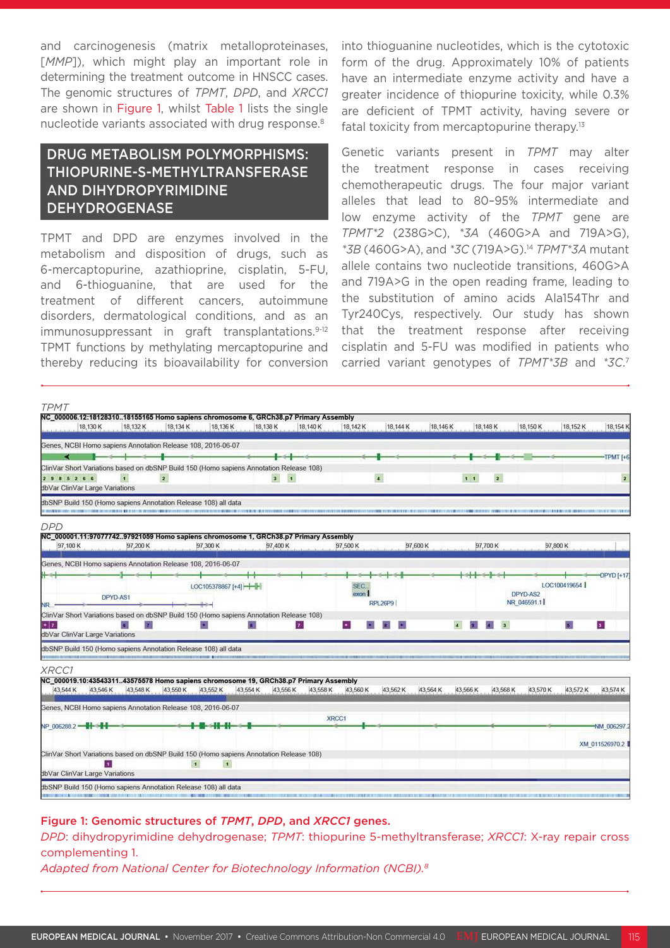and carcinogenesis (matrix metalloproteinases, [*MMP*]), which might play an important role in determining the treatment outcome in HNSCC cases. The genomic structures of *TPMT*, *DPD*, and *XRCC1* are shown in Figure 1, whilst Table 1 lists the single nucleotide variants associated with drug response.8

### DRUG METABOLISM POLYMORPHISMS: THIOPURINE-S-METHYLTRANSFERASE AND DIHYDROPYRIMIDINE **DEHYDROGENASE**

TPMT and DPD are enzymes involved in the metabolism and disposition of drugs, such as 6-mercaptopurine, azathioprine, cisplatin, 5-FU, and 6-thioguanine, that are used for the treatment of different cancers, autoimmune disorders, dermatological conditions, and as an immunosuppressant in graft transplantations.<sup>9-12</sup> TPMT functions by methylating mercaptopurine and thereby reducing its bioavailability for conversion

into thioguanine nucleotides, which is the cytotoxic form of the drug. Approximately 10% of patients have an intermediate enzyme activity and have a greater incidence of thiopurine toxicity, while 0.3% are deficient of TPMT activity, having severe or fatal toxicity from mercaptopurine therapy.<sup>13</sup>

Genetic variants present in *TPMT* may alter the treatment response in cases receiving chemotherapeutic drugs. The four major variant alleles that lead to 80–95% intermediate and low enzyme activity of the *TPMT* gene are *TPMT\*2* (238G>C), *\*3A* (460G>A and 719A>G), *\*3B* (460G>A), and *\*3C* (719A>G).14 *TPMT\*3A* mutant allele contains two nucleotide transitions, 460G>A and 719A>G in the open reading frame, leading to the substitution of amino acids Ala154Thr and Tyr240Cys, respectively. Our study has shown that the treatment response after receiving cisplatin and 5-FU was modified in patients who carried variant genotypes of *TPMT\*3B* and *\*3C*. 7



#### Figure 1: Genomic structures of *TPMT*, *DPD*, and *XRCC1* genes.

*DPD*: dihydropyrimidine dehydrogenase; *TPMT*: thiopurine 5-methyltransferase; *XRCC1*: X-ray repair cross complementing 1.

*Adapted from National Center for Biotechnology Information (NCBI).8*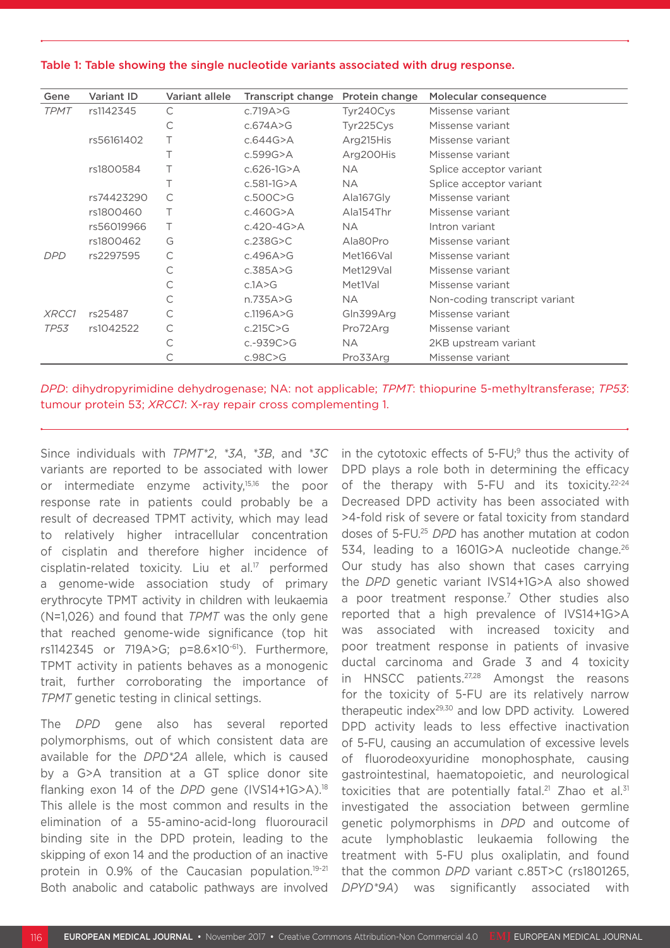#### Table 1: Table showing the single nucleotide variants associated with drug response.

| Gene        | <b>Variant ID</b> | Variant allele | <b>Transcript change</b> | Protein change | Molecular consequence         |
|-------------|-------------------|----------------|--------------------------|----------------|-------------------------------|
| <b>TPMT</b> | rs1142345         | C              | c.719 $A > G$            | Tyr240Cys      | Missense variant              |
|             |                   | С              | c.674A $>$ G             | Tyr225Cys      | Missense variant              |
|             | rs56161402        |                | c.644G                   | Arg215His      | Missense variant              |
|             |                   |                | $c.599G$ >A              | Arg200His      | Missense variant              |
|             | rs1800584         |                | $c.626 - 1G > A$         | <b>NA</b>      | Splice acceptor variant       |
|             |                   |                | $c.581 - 1G > A$         | <b>NA</b>      | Splice acceptor variant       |
|             | rs74423290        | C              | c.500C > G               | Ala167Gly      | Missense variant              |
|             | rs1800460         | Τ              | c.460G $>$ A             | Ala154Thr      | Missense variant              |
|             | rs56019966        |                | c.420-4G>A               | NA.            | Intron variant                |
|             | rs1800462         | G              | c.238G                   | Ala80Pro       | Missense variant              |
| <b>DPD</b>  | rs2297595         | C              | c.496A>G                 | Met166Val      | Missense variant              |
|             |                   | С              | c.385A>G                 | Met129Val      | Missense variant              |
|             |                   | С              | c.1A>G                   | Met1Val        | Missense variant              |
|             |                   | С              | n.735A>G                 | NA.            | Non-coding transcript variant |
| XRCC1       | rs25487           | С              | c.1196 $A > G$           | Gln399Arg      | Missense variant              |
| <b>TP53</b> | rs1042522         | С              | c.215C > G               | Pro72Arg       | Missense variant              |
|             |                   | С              | $c.-939C>G$              | <b>NA</b>      | 2KB upstream variant          |
|             |                   |                | c.98C>G                  | Pro33Arg       | Missense variant              |

*DPD*: dihydropyrimidine dehydrogenase; NA: not applicable; *TPMT*: thiopurine 5-methyltransferase; *TP53*: tumour protein 53; *XRCC1*: X-ray repair cross complementing 1.

Since individuals with *TPMT\*2*, *\*3A*, *\*3B*, and *\*3C* variants are reported to be associated with lower or intermediate enzyme activity,15,16 the poor response rate in patients could probably be a result of decreased TPMT activity, which may lead to relatively higher intracellular concentration of cisplatin and therefore higher incidence of cisplatin-related toxicity. Liu et al.17 performed a genome-wide association study of primary erythrocyte TPMT activity in children with leukaemia (N=1,026) and found that *TPMT* was the only gene that reached genome-wide significance (top hit rs1142345 or 719A>G; p=8.6×10-61). Furthermore, TPMT activity in patients behaves as a monogenic trait, further corroborating the importance of *TPMT* genetic testing in clinical settings.

The *DPD* gene also has several reported polymorphisms, out of which consistent data are available for the *DPD\*2A* allele, which is caused by a G>A transition at a GT splice donor site flanking exon 14 of the *DPD* gene (IVS14+1G>A).18 This allele is the most common and results in the elimination of a 55-amino-acid-long fluorouracil binding site in the DPD protein, leading to the skipping of exon 14 and the production of an inactive protein in 0.9% of the Caucasian population.<sup>19-21</sup> Both anabolic and catabolic pathways are involved

in the cytotoxic effects of  $5$ -FU; $9$  thus the activity of DPD plays a role both in determining the efficacy of the therapy with 5-FU and its toxicity.<sup>22-24</sup> Decreased DPD activity has been associated with >4-fold risk of severe or fatal toxicity from standard doses of 5-FU.25 *DPD* has another mutation at codon 534, leading to a 1601G>A nucleotide change.<sup>26</sup> Our study has also shown that cases carrying the *DPD* genetic variant IVS14+1G>A also showed a poor treatment response.<sup>7</sup> Other studies also reported that a high prevalence of IVS14+1G>A was associated with increased toxicity and poor treatment response in patients of invasive ductal carcinoma and Grade 3 and 4 toxicity in HNSCC patients.<sup>27,28</sup> Amongst the reasons for the toxicity of 5-FU are its relatively narrow therapeutic index<sup>29,30</sup> and low DPD activity. Lowered DPD activity leads to less effective inactivation of 5-FU, causing an accumulation of excessive levels of fluorodeoxyuridine monophosphate, causing gastrointestinal, haematopoietic, and neurological toxicities that are potentially fatal.<sup>21</sup> Zhao et al.<sup>31</sup> investigated the association between germline genetic polymorphisms in *DPD* and outcome of acute lymphoblastic leukaemia following the treatment with 5-FU plus oxaliplatin, and found that the common *DPD* variant c.85T>C (rs1801265, *DPYD\*9A*) was significantly associated with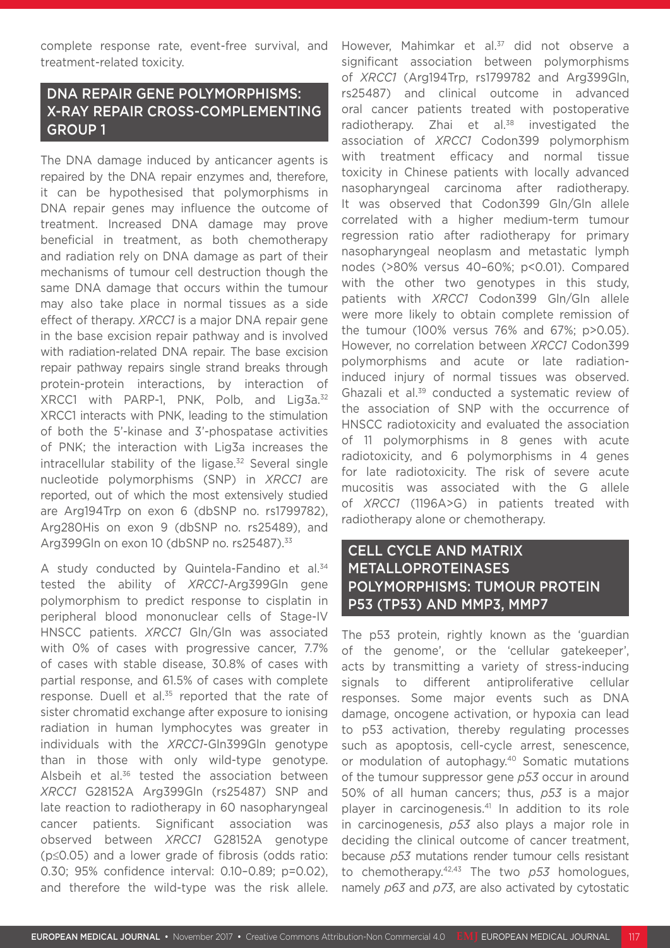complete response rate, event-free survival, and treatment-related toxicity.

## DNA REPAIR GENE POLYMORPHISMS: X-RAY REPAIR CROSS-COMPLEMENTING GROUP 1

The DNA damage induced by anticancer agents is repaired by the DNA repair enzymes and, therefore, it can be hypothesised that polymorphisms in DNA repair genes may influence the outcome of treatment. Increased DNA damage may prove beneficial in treatment, as both chemotherapy and radiation rely on DNA damage as part of their mechanisms of tumour cell destruction though the same DNA damage that occurs within the tumour may also take place in normal tissues as a side effect of therapy. *XRCC1* is a major DNA repair gene in the base excision repair pathway and is involved with radiation-related DNA repair. The base excision repair pathway repairs single strand breaks through protein-protein interactions, by interaction of XRCC1 with PARP-1, PNK, Polb, and Lig3a.<sup>32</sup> XRCC1 interacts with PNK, leading to the stimulation of both the 5'-kinase and 3'-phospatase activities of PNK; the interaction with Lig3a increases the intracellular stability of the ligase. $32$  Several single nucleotide polymorphisms (SNP) in *XRCC1* are reported, out of which the most extensively studied are Arg194Trp on exon 6 (dbSNP no. rs1799782), Arg280His on exon 9 (dbSNP no. rs25489), and Arg399Gln on exon 10 (dbSNP no. rs25487).33

A study conducted by Quintela-Fandino et al.<sup>34</sup> tested the ability of *XRCC1*-Arg399Gln gene polymorphism to predict response to cisplatin in peripheral blood mononuclear cells of Stage-IV HNSCC patients. *XRCC1* Gln/Gln was associated with 0% of cases with progressive cancer, 7.7% of cases with stable disease, 30.8% of cases with partial response, and 61.5% of cases with complete response. Duell et al.<sup>35</sup> reported that the rate of sister chromatid exchange after exposure to ionising radiation in human lymphocytes was greater in individuals with the *XRCC1*-Gln399Gln genotype than in those with only wild-type genotype. Alsbeih et al.<sup>36</sup> tested the association between *XRCC1* G28152A Arg399Gln (rs25487) SNP and late reaction to radiotherapy in 60 nasopharyngeal cancer patients. Significant association was observed between *XRCC1* G28152A genotype (p≤0.05) and a lower grade of fibrosis (odds ratio: 0.30; 95% confidence interval: 0.10–0.89; p=0.02), and therefore the wild-type was the risk allele.

However, Mahimkar et al.<sup>37</sup> did not observe a significant association between polymorphisms of *XRCC1* (Arg194Trp, rs1799782 and Arg399Gln, rs25487) and clinical outcome in advanced oral cancer patients treated with postoperative radiotherapy. Zhai et al.<sup>38</sup> investigated the association of *XRCC1* Codon399 polymorphism with treatment efficacy and normal tissue toxicity in Chinese patients with locally advanced nasopharyngeal carcinoma after radiotherapy. It was observed that Codon399 Gln/Gln allele correlated with a higher medium-term tumour regression ratio after radiotherapy for primary nasopharyngeal neoplasm and metastatic lymph nodes (>80% versus 40–60%; p<0.01). Compared with the other two genotypes in this study, patients with *XRCC1* Codon399 Gln/Gln allele were more likely to obtain complete remission of the tumour (100% versus 76% and 67%; p>0.05). However, no correlation between *XRCC1* Codon399 polymorphisms and acute or late radiationinduced injury of normal tissues was observed. Ghazali et al.<sup>39</sup> conducted a systematic review of the association of SNP with the occurrence of HNSCC radiotoxicity and evaluated the association of 11 polymorphisms in 8 genes with acute radiotoxicity, and 6 polymorphisms in 4 genes for late radiotoxicity. The risk of severe acute mucositis was associated with the G allele of *XRCC1* (1196A>G) in patients treated with radiotherapy alone or chemotherapy.

### CELL CYCLE AND MATRIX METALLOPROTEINASES POLYMORPHISMS: TUMOUR PROTEIN P53 (TP53) AND MMP3, MMP7

The p53 protein, rightly known as the 'guardian of the genome', or the 'cellular gatekeeper', acts by transmitting a variety of stress-inducing signals to different antiproliferative cellular responses. Some major events such as DNA damage, oncogene activation, or hypoxia can lead to p53 activation, thereby regulating processes such as apoptosis, cell-cycle arrest, senescence, or modulation of autophagy.40 Somatic mutations of the tumour suppressor gene *p53* occur in around 50% of all human cancers; thus, *p53* is a major player in carcinogenesis.<sup>41</sup> In addition to its role in carcinogenesis, *p53* also plays a major role in deciding the clinical outcome of cancer treatment, because *p53* mutations render tumour cells resistant to chemotherapy.42,43 The two *p53* homologues, namely *p63* and *p73*, are also activated by cytostatic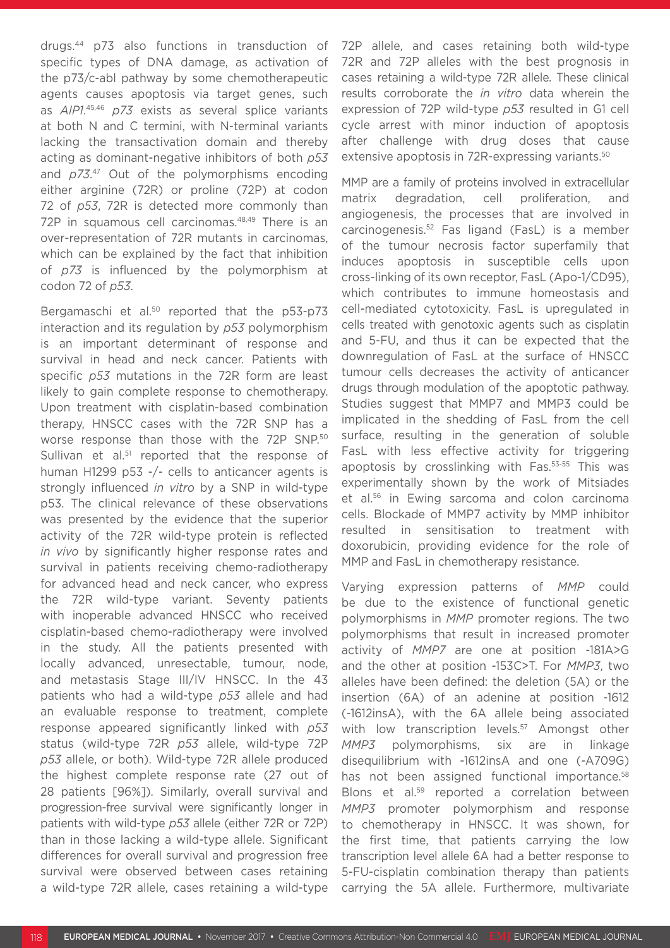drugs.44 p73 also functions in transduction of specific types of DNA damage, as activation of the p73/c-abl pathway by some chemotherapeutic agents causes apoptosis via target genes, such as *AIP1*. 45,46 *p73* exists as several splice variants at both N and C termini, with N-terminal variants lacking the transactivation domain and thereby acting as dominant-negative inhibitors of both *p53* and *p73*. 47 Out of the polymorphisms encoding either arginine (72R) or proline (72P) at codon 72 of *p53*, 72R is detected more commonly than 72P in squamous cell carcinomas.48,49 There is an over-representation of 72R mutants in carcinomas, which can be explained by the fact that inhibition of *p73* is influenced by the polymorphism at codon 72 of *p53*.

Bergamaschi et al.<sup>50</sup> reported that the p53-p73 interaction and its regulation by *p53* polymorphism is an important determinant of response and survival in head and neck cancer. Patients with specific *p53* mutations in the 72R form are least likely to gain complete response to chemotherapy. Upon treatment with cisplatin-based combination therapy, HNSCC cases with the 72R SNP has a worse response than those with the 72P SNP.50 Sullivan et al.<sup>51</sup> reported that the response of human H1299 p53 -/- cells to anticancer agents is strongly influenced *in vitro* by a SNP in wild-type p53. The clinical relevance of these observations was presented by the evidence that the superior activity of the 72R wild-type protein is reflected *in vivo* by significantly higher response rates and survival in patients receiving chemo-radiotherapy for advanced head and neck cancer, who express the 72R wild-type variant. Seventy patients with inoperable advanced HNSCC who received cisplatin-based chemo-radiotherapy were involved in the study. All the patients presented with locally advanced, unresectable, tumour, node, and metastasis Stage III/IV HNSCC. In the 43 patients who had a wild-type *p53* allele and had an evaluable response to treatment, complete response appeared significantly linked with *p53* status (wild-type 72R *p53* allele, wild-type 72P *p53* allele, or both). Wild-type 72R allele produced the highest complete response rate (27 out of 28 patients [96%]). Similarly, overall survival and progression-free survival were significantly longer in patients with wild-type *p53* allele (either 72R or 72P) than in those lacking a wild-type allele. Significant differences for overall survival and progression free survival were observed between cases retaining a wild-type 72R allele, cases retaining a wild-type

72P allele, and cases retaining both wild-type 72R and 72P alleles with the best prognosis in cases retaining a wild-type 72R allele. These clinical results corroborate the *in vitro* data wherein the expression of 72P wild-type *p53* resulted in G1 cell cycle arrest with minor induction of apoptosis after challenge with drug doses that cause extensive apoptosis in 72R-expressing variants.<sup>50</sup>

MMP are a family of proteins involved in extracellular matrix degradation, cell proliferation, and angiogenesis, the processes that are involved in carcinogenesis.52 Fas ligand (FasL) is a member of the tumour necrosis factor superfamily that induces apoptosis in susceptible cells upon cross-linking of its own receptor, FasL (Apo-1/CD95), which contributes to immune homeostasis and cell-mediated cytotoxicity. FasL is upregulated in cells treated with genotoxic agents such as cisplatin and 5-FU, and thus it can be expected that the downregulation of FasL at the surface of HNSCC tumour cells decreases the activity of anticancer drugs through modulation of the apoptotic pathway. Studies suggest that MMP7 and MMP3 could be implicated in the shedding of FasL from the cell surface, resulting in the generation of soluble FasL with less effective activity for triggering apoptosis by crosslinking with Fas.53-55 This was experimentally shown by the work of Mitsiades et al.56 in Ewing sarcoma and colon carcinoma cells. Blockade of MMP7 activity by MMP inhibitor resulted in sensitisation to treatment with doxorubicin, providing evidence for the role of MMP and FasL in chemotherapy resistance.

Varying expression patterns of *MMP* could be due to the existence of functional genetic polymorphisms in *MMP* promoter regions. The two polymorphisms that result in increased promoter activity of *MMP7* are one at position -181A>G and the other at position -153C>T. For *MMP3*, two alleles have been defined: the deletion (5A) or the insertion (6A) of an adenine at position -1612 (-1612insA), with the 6A allele being associated with low transcription levels.<sup>57</sup> Amongst other *MMP3* polymorphisms, six are in linkage disequilibrium with -1612insA and one (-A709G) has not been assigned functional importance.<sup>58</sup> Blons et al.<sup>59</sup> reported a correlation between *MMP3* promoter polymorphism and response to chemotherapy in HNSCC. It was shown, for the first time, that patients carrying the low transcription level allele 6A had a better response to 5-FU-cisplatin combination therapy than patients carrying the 5A allele. Furthermore, multivariate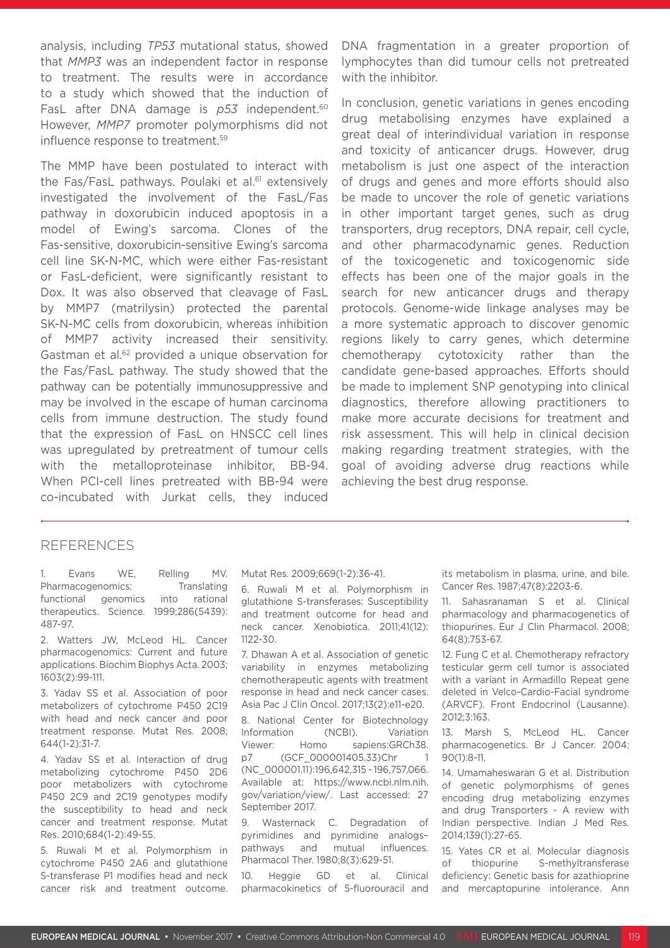analysis, including *TP53* mutational status, showed that *MMP3* was an independent factor in response to treatment. The results were in accordance to a study which showed that the induction of FasL after DNA damage is p53 independent.<sup>60</sup> However, *MMP7* promoter polymorphisms did not influence response to treatment.<sup>59</sup>

The MMP have been postulated to interact with the Fas/FasL pathways. Poulaki et al.<sup>61</sup> extensively investigated the involvement of the FasL/Fas pathway in doxorubicin induced apoptosis in a model of Ewing's sarcoma. Clones of the Fas-sensitive, doxorubicin-sensitive Ewing's sarcoma cell line SK-N-MC, which were either Fas-resistant or FasL-deficient, were significantly resistant to Dox. It was also observed that cleavage of FasL by MMP7 (matrilysin) protected the parental SK-N-MC cells from doxorubicin, whereas inhibition of MMP7 activity increased their sensitivity. Gastman et al.62 provided a unique observation for the Fas/FasL pathway. The study showed that the pathway can be potentially immunosuppressive and may be involved in the escape of human carcinoma cells from immune destruction. The study found that the expression of FasL on HNSCC cell lines was upregulated by pretreatment of tumour cells with the metalloproteinase inhibitor, BB-94. When PCI-cell lines pretreated with BB-94 were co-incubated with Jurkat cells, they induced

DNA fragmentation in a greater proportion of lymphocytes than did tumour cells not pretreated with the inhibitor.

In conclusion, genetic variations in genes encoding drug metabolising enzymes have explained a great deal of interindividual variation in response and toxicity of anticancer drugs. However, drug metabolism is just one aspect of the interaction of drugs and genes and more efforts should also be made to uncover the role of genetic variations in other important target genes, such as drug transporters, drug receptors, DNA repair, cell cycle, and other pharmacodynamic genes. Reduction of the toxicogenetic and toxicogenomic side effects has been one of the major goals in the search for new anticancer drugs and therapy protocols. Genome-wide linkage analyses may be a more systematic approach to discover genomic regions likely to carry genes, which determine chemotherapy cytotoxicity rather than the candidate gene-based approaches. Efforts should be made to implement SNP genotyping into clinical diagnostics, therefore allowing practitioners to make more accurate decisions for treatment and risk assessment. This will help in clinical decision making regarding treatment strategies, with the goal of avoiding adverse drug reactions while achieving the best drug response.

### REFERENCES

1. Evans WE, Relling MV. Pharmacogenomics: Translating functional genomics into rational therapeutics. Science. 1999;286(5439): 487-97.

2. Watters JW, McLeod HL. Cancer pharmacogenomics: Current and future applications. Biochim Biophys Acta. 2003; 1603(2):99-111.

3. Yadav SS et al. Association of poor metabolizers of cytochrome P450 2C19 with head and neck cancer and poor treatment response. Mutat Res. 2008; 644(1-2):31-7.

4. Yadav SS et al. Interaction of drug metabolizing cytochrome P450 2D6 poor metabolizers with cytochrome P450 2C9 and 2C19 genotypes modify the susceptibility to head and neck cancer and treatment response. Mutat Res. 2010;684(1-2):49-55.

5. Ruwali M et al. Polymorphism in cytochrome P450 2A6 and glutathione S-transferase P1 modifies head and neck cancer risk and treatment outcome. Mutat Res. 2009;669(1-2):36-41.

6. Ruwali M et al. Polymorphism in glutathione S-transferases: Susceptibility and treatment outcome for head and neck cancer. Xenobiotica. 2011;41(12): 1122-30.

7. Dhawan A et al. Association of genetic variability in enzymes metabolizing chemotherapeutic agents with treatment response in head and neck cancer cases. Asia Pac J Clin Oncol. 2017;13(2):e11-e20.

8. National Center for Biotechnology Information (NCBI). Variation Viewer: Homo sapiens:GRCh38. p7 (GCF\_000001405.33)Chr 1 (NC\_000001.11):196,642,315 - 196,757,066. Available at: https://www.ncbi.nlm.nih. gov/variation/view/. Last accessed: 27 September 2017.

9. Wasternack C. Degradation of pyrimidines and pyrimidine analogs– pathways and mutual influences. Pharmacol Ther. 1980;8(3):629-51.

10. Heggie GD et al. Clinical pharmacokinetics of 5-fluorouracil and its metabolism in plasma, urine, and bile. Cancer Res. 1987;47(8):2203-6.

11. Sahasranaman S et al. Clinical pharmacology and pharmacogenetics of thiopurines. Eur J Clin Pharmacol. 2008; 64(8):753-67.

12. Fung C et al. Chemotherapy refractory testicular germ cell tumor is associated with a variant in Armadillo Repeat gene deleted in Velco-Cardio-Facial syndrome (ARVCF). Front Endocrinol (Lausanne). 2012;3:163.

13. Marsh S, McLeod HL. Cancer pharmacogenetics. Br J Cancer. 2004; 90(1):8-11.

14. Umamaheswaran G et al. Distribution of genetic polymorphisms of genes encoding drug metabolizing enzymes and drug Transporters - A review with Indian perspective. Indian J Med Res. 2014;139(1):27-65.

15. Yates CR et al. Molecular diagnosis of thiopurine S-methyltransferase deficiency: Genetic basis for azathioprine and mercaptopurine intolerance. Ann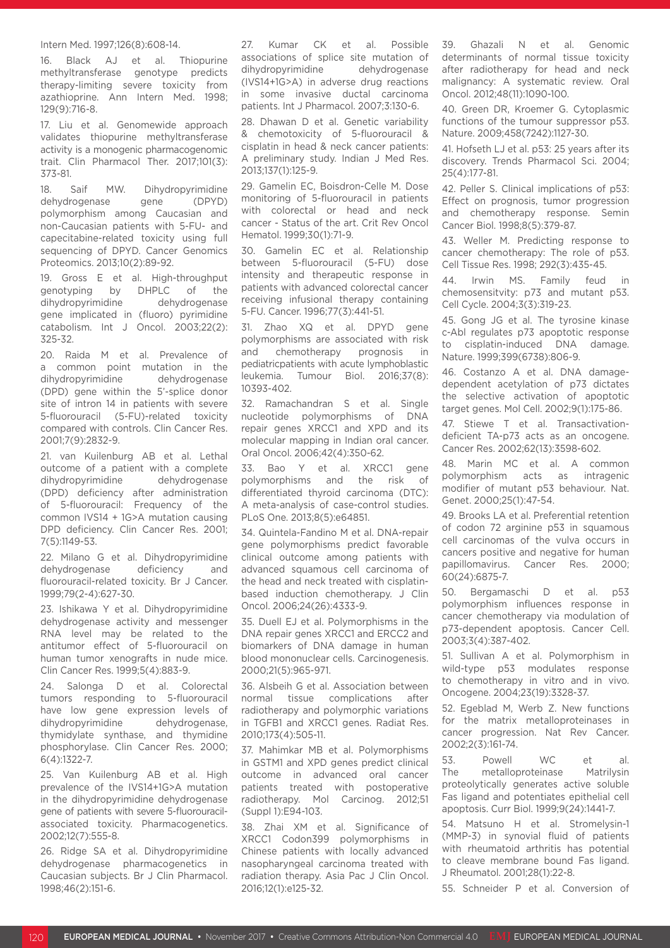#### Intern Med. 1997;126(8):608-14.

16. Black AJ et al. Thiopurine methyltransferase genotype predicts therapy-limiting severe toxicity from azathioprine. Ann Intern Med. 1998; 129(9):716-8.

17. Liu et al. Genomewide approach validates thiopurine methyltransferase activity is a monogenic pharmacogenomic trait. Clin Pharmacol Ther. 2017;101(3): 373-81.

18. Saif MW. Dihydropyrimidine dehydrogenase gene (DPYD) polymorphism among Caucasian and non-Caucasian patients with 5-FU- and capecitabine-related toxicity using full sequencing of DPYD. Cancer Genomics Proteomics. 2013;10(2):89-92.

19. Gross E et al. High-throughput genotyping by DHPLC of the dihydropyrimidine dehydrogenase gene implicated in (fluoro) pyrimidine catabolism. Int J Oncol. 2003;22(2): 325-32.

20. Raida M et al. Prevalence of a common point mutation in the dihydropyrimidine dehydrogenase (DPD) gene within the 5'-splice donor site of intron 14 in patients with severe 5-fluorouracil (5-FU)-related toxicity compared with controls. Clin Cancer Res. 2001;7(9):2832-9.

21. van Kuilenburg AB et al. Lethal outcome of a patient with a complete dihydropyrimidine dehydrogenase (DPD) deficiency after administration of 5-fluorouracil: Frequency of the common IVS14 + 1G>A mutation causing DPD deficiency. Clin Cancer Res. 2001; 7(5):1149-53.

22. Milano G et al. Dihydropyrimidine dehydrogenase deficiency and fluorouracil-related toxicity. Br J Cancer. 1999;79(2-4):627-30.

23. Ishikawa Y et al. Dihydropyrimidine dehydrogenase activity and messenger RNA level may be related to the antitumor effect of 5-fluorouracil on human tumor xenografts in nude mice. Clin Cancer Res. 1999;5(4):883-9.

24. Salonga D et al. Colorectal tumors responding to 5-fluorouracil have low gene expression levels of dihydropyrimidine dehydrogenase, thymidylate synthase, and thymidine phosphorylase. Clin Cancer Res. 2000; 6(4):1322-7.

25. Van Kuilenburg AB et al. High prevalence of the IVS14+1G>A mutation in the dihydropyrimidine dehydrogenase gene of patients with severe 5-fluorouracilassociated toxicity. Pharmacogenetics. 2002;12(7):555-8.

26. Ridge SA et al. Dihydropyrimidine dehydrogenase pharmacogenetics in Caucasian subjects. Br J Clin Pharmacol. 1998;46(2):151-6.

27. Kumar CK et al. Possible associations of splice site mutation of dihydropyrimidine dehydrogenase (IVS14+1G>A) in adverse drug reactions in some invasive ductal carcinoma patients. Int J Pharmacol. 2007;3:130-6.

28. Dhawan D et al. Genetic variability & chemotoxicity of 5-fluorouracil & cisplatin in head & neck cancer patients: A preliminary study. Indian J Med Res. 2013;137(1):125-9.

29. Gamelin EC, Boisdron-Celle M. Dose monitoring of 5-fluorouracil in patients with colorectal or head and neck cancer - Status of the art. Crit Rev Oncol Hematol. 1999;30(1):71-9.

30. Gamelin EC et al. Relationship between 5-fluorouracil (5-FU) dose intensity and therapeutic response in patients with advanced colorectal cancer receiving infusional therapy containing 5-FU. Cancer. 1996;77(3):441-51.

31. Zhao XQ et al. DPYD gene polymorphisms are associated with risk and chemotherapy prognosis in pediatricpatients with acute lymphoblastic leukemia. Tumour Biol. 2016;37(8): 10393-402.

32. Ramachandran S et al. Single nucleotide polymorphisms of DNA repair genes XRCC1 and XPD and its molecular mapping in Indian oral cancer. Oral Oncol. 2006;42(4):350-62.

33. Bao Y et al. XRCC1 gene polymorphisms and the risk of differentiated thyroid carcinoma (DTC): A meta-analysis of case-control studies. PLoS One. 2013;8(5):e64851.

34. Quintela-Fandino M et al. DNA-repair gene polymorphisms predict favorable clinical outcome among patients with advanced squamous cell carcinoma of the head and neck treated with cisplatinbased induction chemotherapy. J Clin Oncol. 2006;24(26):4333-9.

35. Duell EJ et al. Polymorphisms in the DNA repair genes XRCC1 and ERCC2 and biomarkers of DNA damage in human blood mononuclear cells. Carcinogenesis. 2000;21(5):965-971.

36. Alsbeih G et al. Association between normal tissue complications after radiotherapy and polymorphic variations in TGFB1 and XRCC1 genes. Radiat Res. 2010;173(4):505-11.

37. Mahimkar MB et al. Polymorphisms in GSTM1 and XPD genes predict clinical outcome in advanced oral cancer patients treated with postoperative radiotherapy. Mol Carcinog. 2012;51 (Suppl 1):E94-103.

38. Zhai XM et al. Significance of XRCC1 Codon399 polymorphisms in Chinese patients with locally advanced nasopharyngeal carcinoma treated with radiation therapy. Asia Pac J Clin Oncol. 2016;12(1):e125-32.

39. Ghazali N et al. Genomic determinants of normal tissue toxicity after radiotherapy for head and neck malignancy: A systematic review. Oral Oncol. 2012;48(11):1090-100.

40. Green DR, Kroemer G. Cytoplasmic functions of the tumour suppressor p53. Nature. 2009;458(7242):1127-30.

41. Hofseth LJ et al. p53: 25 years after its discovery. Trends Pharmacol Sci. 2004; 25(4):177-81.

42. Peller S. Clinical implications of p53: Effect on prognosis, tumor progression and chemotherapy response. Semin Cancer Biol. 1998;8(5):379-87.

43. Weller M. Predicting response to cancer chemotherapy: The role of p53. Cell Tissue Res. 1998; 292(3):435-45.

44. Irwin MS. Family feud in chemosensitvity: p73 and mutant p53. Cell Cycle. 2004;3(3):319-23.

45. Gong JG et al. The tyrosine kinase c-Abl regulates p73 apoptotic response to cisplatin-induced DNA damage. Nature. 1999;399(6738):806-9.

46. Costanzo A et al. DNA damagedependent acetylation of p73 dictates the selective activation of apoptotic target genes. Mol Cell. 2002;9(1):175-86.

47. Stiewe T et al. Transactivationdeficient TA-p73 acts as an oncogene. Cancer Res. 2002;62(13):3598-602.

48. Marin MC et al. A common polymorphism acts as intragenic modifier of mutant p53 behaviour. Nat. Genet. 2000;25(1):47-54.

49. Brooks LA et al. Preferential retention of codon 72 arginine p53 in squamous cell carcinomas of the vulva occurs in cancers positive and negative for human papillomavirus. Cancer Res. 2000; 60(24):6875-7.

50. Bergamaschi D et al. p53 polymorphism influences response in cancer chemotherapy via modulation of p73-dependent apoptosis. Cancer Cell. 2003;3(4):387-402.

51. Sullivan A et al. Polymorphism in wild-type p53 modulates response to chemotherapy in vitro and in vivo. Oncogene. 2004;23(19):3328-37.

52. Egeblad M, Werb Z. New functions for the matrix metalloproteinases in cancer progression. Nat Rev Cancer. 2002;2(3):161-74.

53. Powell WC et al. The metalloproteinase Matrilysin proteolytically generates active soluble Fas ligand and potentiates epithelial cell apoptosis. Curr Biol. 1999;9(24):1441-7.

54. Matsuno H et al. Stromelysin-1 (MMP-3) in synovial fluid of patients with rheumatoid arthritis has potential to cleave membrane bound Fas ligand. J Rheumatol. 2001;28(1):22-8.

55. Schneider P et al. Conversion of